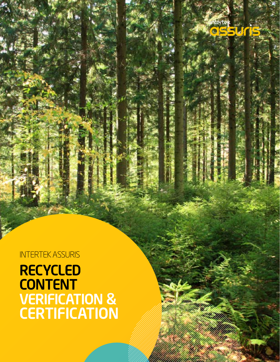INTERTEK ASSURIS

**RECYCLED CONTENT** VERIFICATION & **CERTIFICATION** 

D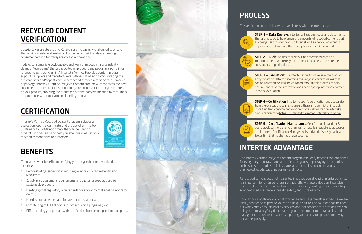## RECYCLED CONTENT VERIFICATION

Suppliers, Manufacturers, and Retailers are increasingly challenged to ensure that environmental and sustainability claims of their brands are meeting consumer demand for transparency and authenticity.

Today's consumer is knowledgeable and wary of misleading sustainability claims or "eco-claims" that are reported on products and packaging, sometimes referred to as "greenwashing". Intertek's Verified Recycled Content program supports suppliers and manufacturers with validating and communicating the pre-consumer and/or post-consumer recycled content in their material, product, or package. Intertek's Verified Recycled Content program authenticates the postconsumer, pre-consumer (post-industrial), closed loop, or total recycled content of your product, providing the assurance of third-party verification to consumers in accordance with eco-claim and labelling standards.

### **CERTIFICATION**

**STEP 1 – Data Review:** Intertek will request data and documents that are needed to help prove the amounts of recycled content that are being used in your product. Intertek will guide you on what is required and help ensure that the right evidence is collected.

Intertek's Verified Recycled Content program includes an evaluation report, a certificate, and the use of an Intertek Sustainability Certification mark that can be used on products and packaging to help you effectively market your recycled content claim to customers.



### **BENEFITS**

**STEP 3 - Evaluation:** Our Intertek experts will review the product and production data to determine the recycled content claims that can be validated. You will be engaged through this process to help ensure that all of the information has been appropriately incorporated in to the evaluation.

There are several benefits to verifying your recycled content verification, including: • Demonstrating leadership in reducing reliance on virgin materials and **STEP 4 – Certification**: Intertek keeps it's certification body separate from the evaluations teams to ensure there is no conflict of interest. Once Certified, your company and products will be listed on Intertek's products directory [\(https://sustainabilitydirectory.intertek.com/home](https://sustainabilitydirectory.intertek.com/home)).

- resources;
- Satisfying procurement requirements and customer expectations for sustainable products;
- Meeting global regulatory requirements for environmental labelling and "ecoclaims";
- Meeting consumer demand for greater transparency;
- Contributing to LEED® points (or other building programs); and
- Differentiating your product with certification from an independent third party.



# PROCESS





 $\smallsmile$ 

### The verification process involves several steps with the Intertek team:

STEP 2 — Audit: An onsite audit will be determined based on the critical areas where recycled content is handled, to ensure the consistency of production.

STEP 5 — Certification Maintenance: Certification is valid for 3 years provided there are no changes to materials, suppliers, processes, etc. Intertek's Certification Manager will send a brief survey each year to confirm that no changes have occurred.

## INTERTEK ADVANTAGE

The Intertek Verified Recycled Content program can verify recycled content claims for everything from raw materials to finished goods to packaging, in industries such as plastics, textiles, building materials, electronics, consumer goods, engineered woods, paper, packaging, and more.

As recycled content does not guarantee improved overall environmental benefits, it is important to remember there are trade-offs with every decision. Intertek is here to help through its unparalleled team of industry-leading experts providing science-based assurance in quality, safety, and sustainability.

Through our global network, local knowledge and subject-matter expertise we are ideally positioned to provide you with a unique end-to-end solution that includes our wide variety of sustainability services and independent certifications. We can help you to meaningfully demonstrate your commitment to sustainability and manage risk and resilience, whilst supporting your ability to operate effectively and act responsibly.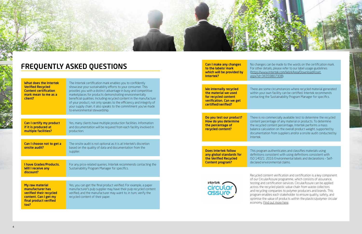| <b>Can I make any changes</b><br>to the labels/ mark<br>which will be provided by<br>Intertek?                                   | No changes<br>For other det<br>(https://www<br><u>aspx?id=343</u>                          |
|----------------------------------------------------------------------------------------------------------------------------------|--------------------------------------------------------------------------------------------|
| We internally recycled<br>the material we used<br>for recycled content<br><b>verification. Can we get</b><br>certified/verified? | There are sor<br>within your c<br>contacting th                                            |
| Do you test our product?<br>How do you determine<br>the percentage of<br>recycled content?                                       | There is no c<br>content perc<br>the recycled<br>balance calcu<br>documentati<br>Intertek. |
| <b>Does Intertek follow</b><br>any global standards for<br>the Verified Recycled<br><b>Content program?</b>                      | This program<br>definitions co<br>ISO 14021:2<br>declared env                              |
| <b>intertek</b>                                                                                                                  | Recycled con<br>of our Circula<br>testing and c                                            |



ntent verification and certification is a key component arAssure programme, which consists of assurance, certification services. CircularAssure can be applied across the recycled plastic value chain from waste collectors and recycling companies to polymer producers and brands. This program enables each stakeholder to ensure quality, safety, and optimise the value of products within the plastics/polymer circular economy. [Find out more here](http://www.intertek.com/polymers-plastics/recycled-plastics-circular-economy-circularassure/).



can be made to the words on the certification mark. tails, please refer to our label usage guidelines ([https://www.intertek.com/WorkArea/DownloadAsset.](https://www.intertek.com/WorkArea/DownloadAsset.aspx?id=34359807308) 59807308).

me circumstances where recycled material generated wn facility can be certified. Intertek recommends he Sustainability Program Manager for specifics.

ommercially available test to determine the recycled centage of any material or products. To determine content percentage, Intertek performs a mass ulation on the overall product weight, supported by ion from suppliers and/or a onsite audit conducted by

authenticates and classifies materials using onsistent with using definitions consistent with 2016 Environmental labels and declarations - Selfironmental claims.





## FREQUENTLY ASKED QUESTIONS

| What does the Intertek<br><b>Verified Recycled</b><br><b>Content certification</b><br>mark mean to me as a<br>client?     | The Intertek certification mark enables you to confidently<br>showcase your sustainability efforts to your consumer. This<br>provides you with a distinct advantage in busy and competitive<br>marketplaces for products demonstrating environmentally<br>beneficial qualities. Including recycled content in the manufacture<br>of your product, not only speaks to the efficiency and integrity of<br>your supply chain, it also speaks to the commitment you've made<br>to environmental stewardship. |  |
|---------------------------------------------------------------------------------------------------------------------------|----------------------------------------------------------------------------------------------------------------------------------------------------------------------------------------------------------------------------------------------------------------------------------------------------------------------------------------------------------------------------------------------------------------------------------------------------------------------------------------------------------|--|
|                                                                                                                           |                                                                                                                                                                                                                                                                                                                                                                                                                                                                                                          |  |
| <b>Can I certify my product</b><br>if it is produced at<br>multiple facilities?                                           | Yes, many clients have multiple production facilities. Information<br>and documentation will be required from each facility involved in<br>production.                                                                                                                                                                                                                                                                                                                                                   |  |
|                                                                                                                           |                                                                                                                                                                                                                                                                                                                                                                                                                                                                                                          |  |
| Can I choose not to get a<br>onsite audit?                                                                                | The onsite audit is not optional as it is at Intertek's discretion<br>based on the quality of data and documentation from the<br>supplier.                                                                                                                                                                                                                                                                                                                                                               |  |
|                                                                                                                           |                                                                                                                                                                                                                                                                                                                                                                                                                                                                                                          |  |
| I have Grades/Products.<br><b>Will I receive any</b><br>discount?                                                         | For any price-related queries, Intertek recommends contacting the<br>Sustainability Program Manager for specifics.                                                                                                                                                                                                                                                                                                                                                                                       |  |
|                                                                                                                           |                                                                                                                                                                                                                                                                                                                                                                                                                                                                                                          |  |
| My raw material<br>manufacturer has<br>verified their recycled<br>content. Can I get my<br>final product verified<br>too? | Yes, you can get the final product verified. For example, a paper<br>manufacturer's pulp supplier may have their pulp recycled content<br>verified, and the manufacturer may want to, in turn, verify the<br>recycled content of their paper.                                                                                                                                                                                                                                                            |  |